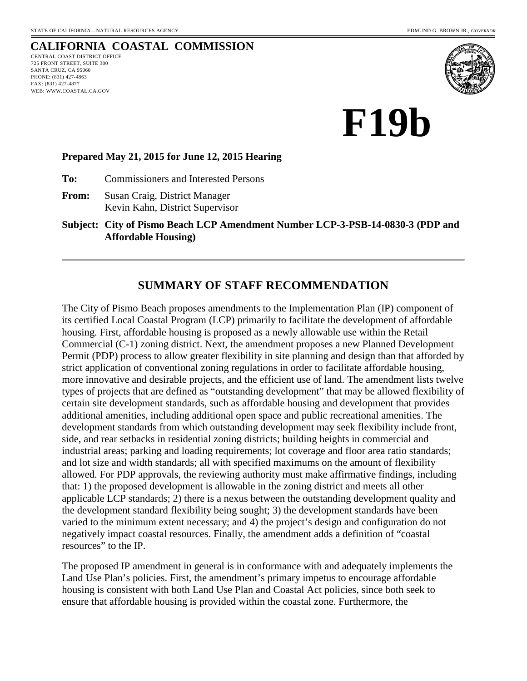# **CALIFORNIA COASTAL COMMISSION**

CENTRAL COAST DISTRICT OFFICE 725 FRONT STREET, SUITE 300 SANTA CRUZ, CA 95060 PHONE: (831) 427-4863 FAX: (831) 427-4877 WEB: WWW.COASTAL.CA.GOV



**F19b** 

#### **Prepared May 21, 2015 for June 12, 2015 Hearing**

**To:** Commissioners and Interested Persons

**From:** Susan Craig, District Manager Kevin Kahn, District Supervisor

**Subject: City of Pismo Beach LCP Amendment Number LCP-3-PSB-14-0830-3 (PDP and Affordable Housing)**

#### **SUMMARY OF STAFF RECOMMENDATION**

The City of Pismo Beach proposes amendments to the Implementation Plan (IP) component of its certified Local Coastal Program (LCP) primarily to facilitate the development of affordable housing. First, affordable housing is proposed as a newly allowable use within the Retail Commercial (C-1) zoning district. Next, the amendment proposes a new Planned Development Permit (PDP) process to allow greater flexibility in site planning and design than that afforded by strict application of conventional zoning regulations in order to facilitate affordable housing, more innovative and desirable projects, and the efficient use of land. The amendment lists twelve types of projects that are defined as "outstanding development" that may be allowed flexibility of certain site development standards, such as affordable housing and development that provides additional amenities, including additional open space and public recreational amenities. The development standards from which outstanding development may seek flexibility include front, side, and rear setbacks in residential zoning districts; building heights in commercial and industrial areas; parking and loading requirements; lot coverage and floor area ratio standards; and lot size and width standards; all with specified maximums on the amount of flexibility allowed. For PDP approvals, the reviewing authority must make affirmative findings, including that: 1) the proposed development is allowable in the zoning district and meets all other applicable LCP standards; 2) there is a nexus between the outstanding development quality and the development standard flexibility being sought; 3) the development standards have been varied to the minimum extent necessary; and 4) the project's design and configuration do not negatively impact coastal resources. Finally, the amendment adds a definition of "coastal resources" to the IP.

The proposed IP amendment in general is in conformance with and adequately implements the Land Use Plan's policies. First, the amendment's primary impetus to encourage affordable housing is consistent with both Land Use Plan and Coastal Act policies, since both seek to ensure that affordable housing is provided within the coastal zone. Furthermore, the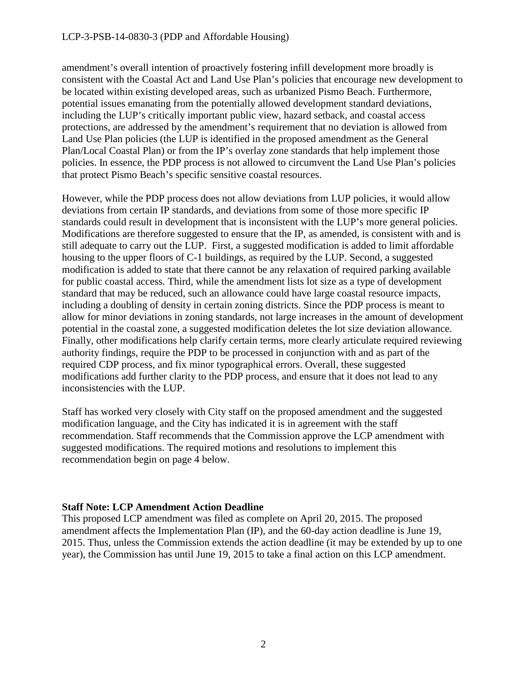amendment's overall intention of proactively fostering infill development more broadly is consistent with the Coastal Act and Land Use Plan's policies that encourage new development to be located within existing developed areas, such as urbanized Pismo Beach. Furthermore, potential issues emanating from the potentially allowed development standard deviations, including the LUP's critically important public view, hazard setback, and coastal access protections, are addressed by the amendment's requirement that no deviation is allowed from Land Use Plan policies (the LUP is identified in the proposed amendment as the General Plan/Local Coastal Plan) or from the IP's overlay zone standards that help implement those policies. In essence, the PDP process is not allowed to circumvent the Land Use Plan's policies that protect Pismo Beach's specific sensitive coastal resources.

However, while the PDP process does not allow deviations from LUP policies, it would allow deviations from certain IP standards, and deviations from some of those more specific IP standards could result in development that is inconsistent with the LUP's more general policies. Modifications are therefore suggested to ensure that the IP, as amended, is consistent with and is still adequate to carry out the LUP. First, a suggested modification is added to limit affordable housing to the upper floors of C-1 buildings, as required by the LUP. Second, a suggested modification is added to state that there cannot be any relaxation of required parking available for public coastal access. Third, while the amendment lists lot size as a type of development standard that may be reduced, such an allowance could have large coastal resource impacts, including a doubling of density in certain zoning districts. Since the PDP process is meant to allow for minor deviations in zoning standards, not large increases in the amount of development potential in the coastal zone, a suggested modification deletes the lot size deviation allowance. Finally, other modifications help clarify certain terms, more clearly articulate required reviewing authority findings, require the PDP to be processed in conjunction with and as part of the required CDP process, and fix minor typographical errors. Overall, these suggested modifications add further clarity to the PDP process, and ensure that it does not lead to any inconsistencies with the LUP.

Staff has worked very closely with City staff on the proposed amendment and the suggested modification language, and the City has indicated it is in agreement with the staff recommendation. Staff recommends that the Commission approve the LCP amendment with suggested modifications. The required motions and resolutions to implement this recommendation begin on page 4 below.

#### **Staff Note: LCP Amendment Action Deadline**

This proposed LCP amendment was filed as complete on April 20, 2015. The proposed amendment affects the Implementation Plan (IP), and the 60-day action deadline is June 19, 2015. Thus, unless the Commission extends the action deadline (it may be extended by up to one year), the Commission has until June 19, 2015 to take a final action on this LCP amendment.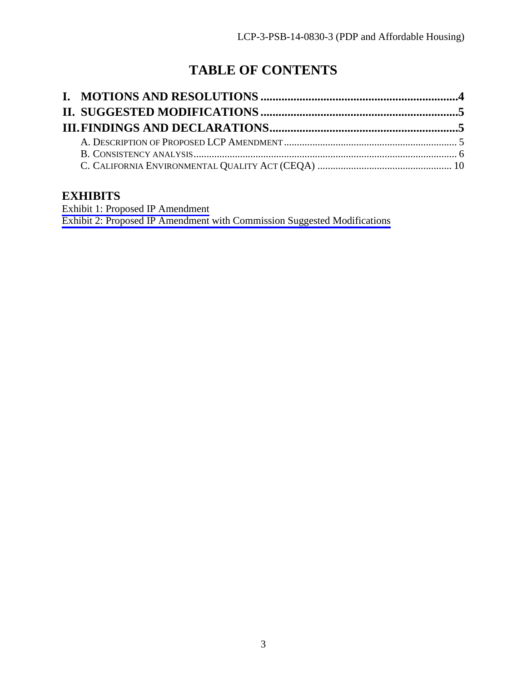# **TABLE OF CONTENTS**

# **EXHIBITS**

[Exhibit 1: Proposed IP Amendment](#page-10-0) [Exhibit 2: Proposed IP Amendment with Commission Suggested Modifications](#page-16-0)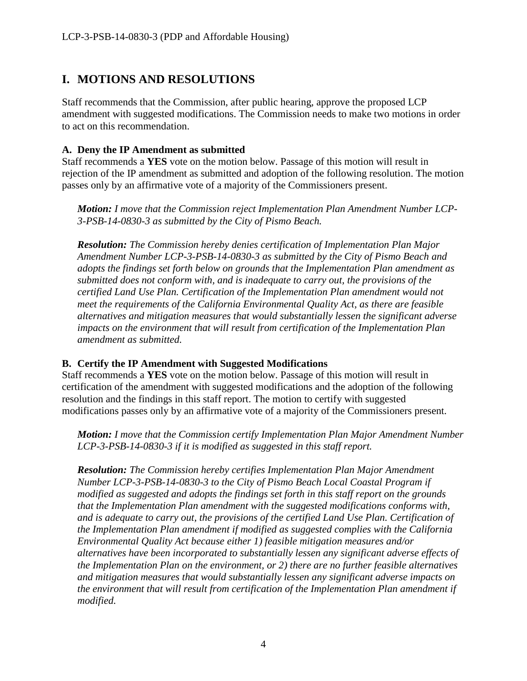# <span id="page-3-0"></span>**I. MOTIONS AND RESOLUTIONS**

Staff recommends that the Commission, after public hearing, approve the proposed LCP amendment with suggested modifications. The Commission needs to make two motions in order to act on this recommendation.

#### **A. Deny the IP Amendment as submitted**

Staff recommends a **YES** vote on the motion below. Passage of this motion will result in rejection of the IP amendment as submitted and adoption of the following resolution. The motion passes only by an affirmative vote of a majority of the Commissioners present.

*Motion: I move that the Commission reject Implementation Plan Amendment Number LCP-3-PSB-14-0830-3 as submitted by the City of Pismo Beach.* 

*Resolution: The Commission hereby denies certification of Implementation Plan Major Amendment Number LCP-3-PSB-14-0830-3 as submitted by the City of Pismo Beach and adopts the findings set forth below on grounds that the Implementation Plan amendment as submitted does not conform with, and is inadequate to carry out, the provisions of the certified Land Use Plan. Certification of the Implementation Plan amendment would not meet the requirements of the California Environmental Quality Act, as there are feasible alternatives and mitigation measures that would substantially lessen the significant adverse impacts on the environment that will result from certification of the Implementation Plan amendment as submitted.* 

#### **B. Certify the IP Amendment with Suggested Modifications**

Staff recommends a **YES** vote on the motion below. Passage of this motion will result in certification of the amendment with suggested modifications and the adoption of the following resolution and the findings in this staff report. The motion to certify with suggested modifications passes only by an affirmative vote of a majority of the Commissioners present.

*Motion: I move that the Commission certify Implementation Plan Major Amendment Number LCP-3-PSB-14-0830-3 if it is modified as suggested in this staff report.* 

*Resolution: The Commission hereby certifies Implementation Plan Major Amendment Number LCP-3-PSB-14-0830-3 to the City of Pismo Beach Local Coastal Program if modified as suggested and adopts the findings set forth in this staff report on the grounds that the Implementation Plan amendment with the suggested modifications conforms with, and is adequate to carry out, the provisions of the certified Land Use Plan. Certification of the Implementation Plan amendment if modified as suggested complies with the California Environmental Quality Act because either 1) feasible mitigation measures and/or alternatives have been incorporated to substantially lessen any significant adverse effects of the Implementation Plan on the environment, or 2) there are no further feasible alternatives and mitigation measures that would substantially lessen any significant adverse impacts on the environment that will result from certification of the Implementation Plan amendment if modified.*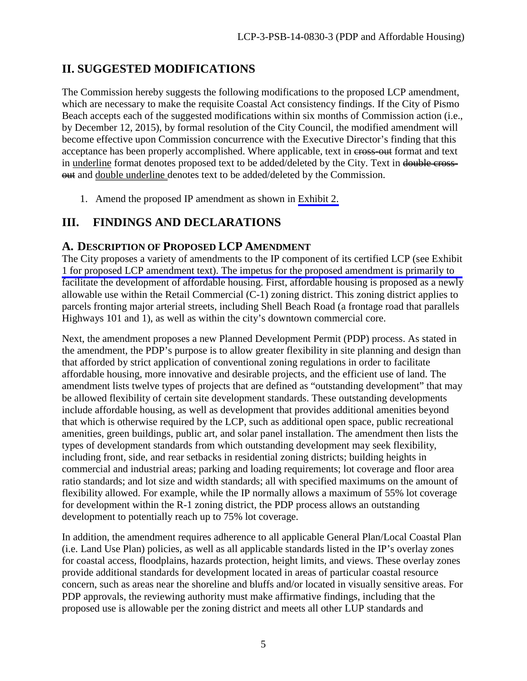# <span id="page-4-0"></span>**II. SUGGESTED MODIFICATIONS**

The Commission hereby suggests the following modifications to the proposed LCP amendment, which are necessary to make the requisite Coastal Act consistency findings. If the City of Pismo Beach accepts each of the suggested modifications within six months of Commission action (i.e., by December 12, 2015), by formal resolution of the City Council, the modified amendment will become effective upon Commission concurrence with the Executive Director's finding that this acceptance has been properly accomplished. Where applicable, text in cross-out format and text in underline format denotes proposed text to be added/deleted by the City. Text in double cross-**THE and double underline denotes text to be added/deleted by the Commission.** 

1. Amend the proposed IP amendment as shown in [Exhibit 2.](#page-16-0) 

# <span id="page-4-1"></span>**III. FINDINGS AND DECLARATIONS**

### <span id="page-4-2"></span>**A. DESCRIPTION OF PROPOSED LCP AMENDMENT**

[The City proposes a variety of amendments to the IP component of its certified LCP \(see Exhibit](#page-10-0) 1 for proposed LCP amendment text). The impetus for the proposed amendment is primarily to facilitate the development of affordable housing. First, affordable housing is proposed as a newly allowable use within the Retail Commercial (C-1) zoning district. This zoning district applies to parcels fronting major arterial streets, including Shell Beach Road (a frontage road that parallels Highways 101 and 1), as well as within the city's downtown commercial core.

Next, the amendment proposes a new Planned Development Permit (PDP) process. As stated in the amendment, the PDP's purpose is to allow greater flexibility in site planning and design than that afforded by strict application of conventional zoning regulations in order to facilitate affordable housing, more innovative and desirable projects, and the efficient use of land. The amendment lists twelve types of projects that are defined as "outstanding development" that may be allowed flexibility of certain site development standards. These outstanding developments include affordable housing, as well as development that provides additional amenities beyond that which is otherwise required by the LCP, such as additional open space, public recreational amenities, green buildings, public art, and solar panel installation. The amendment then lists the types of development standards from which outstanding development may seek flexibility, including front, side, and rear setbacks in residential zoning districts; building heights in commercial and industrial areas; parking and loading requirements; lot coverage and floor area ratio standards; and lot size and width standards; all with specified maximums on the amount of flexibility allowed. For example, while the IP normally allows a maximum of 55% lot coverage for development within the R-1 zoning district, the PDP process allows an outstanding development to potentially reach up to 75% lot coverage.

In addition, the amendment requires adherence to all applicable General Plan/Local Coastal Plan (i.e. Land Use Plan) policies, as well as all applicable standards listed in the IP's overlay zones for coastal access, floodplains, hazards protection, height limits, and views. These overlay zones provide additional standards for development located in areas of particular coastal resource concern, such as areas near the shoreline and bluffs and/or located in visually sensitive areas. For PDP approvals, the reviewing authority must make affirmative findings, including that the proposed use is allowable per the zoning district and meets all other LUP standards and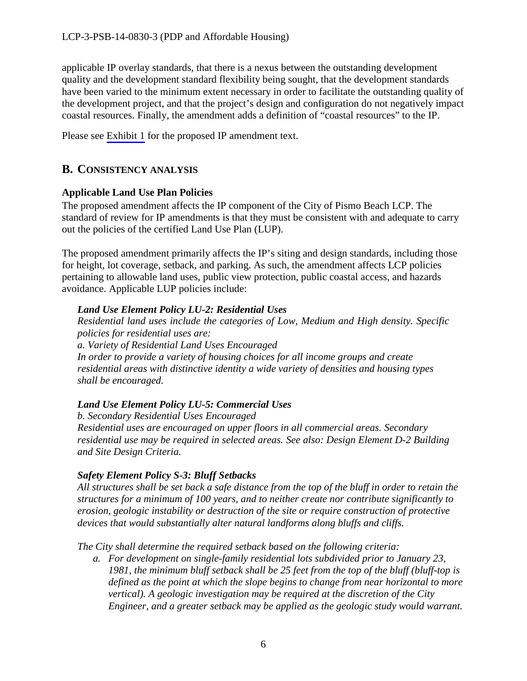applicable IP overlay standards, that there is a nexus between the outstanding development quality and the development standard flexibility being sought, that the development standards have been varied to the minimum extent necessary in order to facilitate the outstanding quality of the development project, and that the project's design and configuration do not negatively impact coastal resources. Finally, the amendment adds a definition of "coastal resources" to the IP.

Please see [Exhibit 1](#page-10-0) for the proposed IP amendment text.

### <span id="page-5-0"></span>**B. CONSISTENCY ANALYSIS**

#### **Applicable Land Use Plan Policies**

The proposed amendment affects the IP component of the City of Pismo Beach LCP. The standard of review for IP amendments is that they must be consistent with and adequate to carry out the policies of the certified Land Use Plan (LUP).

The proposed amendment primarily affects the IP's siting and design standards, including those for height, lot coverage, setback, and parking. As such, the amendment affects LCP policies pertaining to allowable land uses, public view protection, public coastal access, and hazards avoidance. Applicable LUP policies include:

#### *Land Use Element Policy LU-2: Residential Uses*

*Residential land uses include the categories of Low, Medium and High density. Specific policies for residential uses are: a. Variety of Residential Land Uses Encouraged In order to provide a variety of housing choices for all income groups and create residential areas with distinctive identity a wide variety of densities and housing types shall be encouraged.* 

### *Land Use Element Policy LU-5: Commercial Uses*

 *b. Secondary Residential Uses Encouraged Residential uses are encouraged on upper floors in all commercial areas. Secondary residential use may be required in selected areas. See also: Design Element D-2 Building and Site Design Criteria.* 

#### *Safety Element Policy S-3: Bluff Setbacks*

*All structures shall be set back a safe distance from the top of the bluff in order to retain the structures for a minimum of 100 years, and to neither create nor contribute significantly to erosion, geologic instability or destruction of the site or require construction of protective devices that would substantially alter natural landforms along bluffs and cliffs.* 

*The City shall determine the required setback based on the following criteria:* 

*a. For development on single-family residential lots subdivided prior to January 23, 1981, the minimum bluff setback shall be 25 feet from the top of the bluff (bluff-top is defined as the point at which the slope begins to change from near horizontal to more vertical). A geologic investigation may be required at the discretion of the City Engineer, and a greater setback may be applied as the geologic study would warrant.*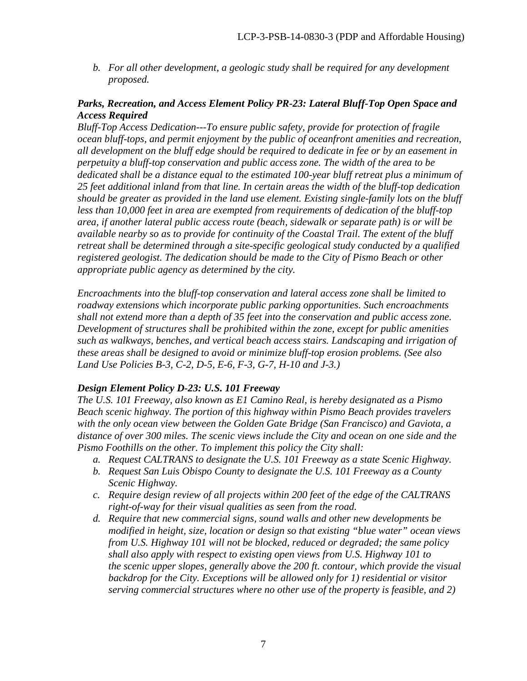*b. For all other development, a geologic study shall be required for any development proposed.* 

#### *Parks, Recreation, and Access Element Policy PR-23: Lateral Bluff-Top Open Space and Access Required*

*Bluff-Top Access Dedication---To ensure public safety, provide for protection of fragile ocean bluff-tops, and permit enjoyment by the public of oceanfront amenities and recreation, all development on the bluff edge should be required to dedicate in fee or by an easement in perpetuity a bluff-top conservation and public access zone. The width of the area to be dedicated shall be a distance equal to the estimated 100-year bluff retreat plus a minimum of 25 feet additional inland from that line. In certain areas the width of the bluff-top dedication should be greater as provided in the land use element. Existing single-family lots on the bluff*  less than 10,000 feet in area are exempted from requirements of dedication of the bluff-top *area, if another lateral public access route (beach, sidewalk or separate path) is or will be available nearby so as to provide for continuity of the Coastal Trail. The extent of the bluff retreat shall be determined through a site-specific geological study conducted by a qualified registered geologist. The dedication should be made to the City of Pismo Beach or other appropriate public agency as determined by the city.* 

*Encroachments into the bluff-top conservation and lateral access zone shall be limited to roadway extensions which incorporate public parking opportunities. Such encroachments shall not extend more than a depth of 35 feet into the conservation and public access zone. Development of structures shall be prohibited within the zone, except for public amenities such as walkways, benches, and vertical beach access stairs. Landscaping and irrigation of these areas shall be designed to avoid or minimize bluff-top erosion problems. (See also Land Use Policies B-3, C-2, D-5, E-6, F-3, G-7, H-10 and J-3.)* 

#### *Design Element Policy D-23: U.S. 101 Freeway*

*The U.S. 101 Freeway, also known as E1 Camino Real, is hereby designated as a Pismo Beach scenic highway. The portion of this highway within Pismo Beach provides travelers with the only ocean view between the Golden Gate Bridge (San Francisco) and Gaviota, a distance of over 300 miles. The scenic views include the City and ocean on one side and the Pismo Foothills on the other. To implement this policy the City shall:* 

- *a. Request CALTRANS to designate the U.S. 101 Freeway as a state Scenic Highway.*
- *b. Request San Luis Obispo County to designate the U.S. 101 Freeway as a County Scenic Highway.*
- *c. Require design review of all projects within 200 feet of the edge of the CALTRANS right-of-way for their visual qualities as seen from the road.*
- *d. Require that new commercial signs, sound walls and other new developments be modified in height, size, location or design so that existing "blue water" ocean views from U.S. Highway 101 will not be blocked, reduced or degraded; the same policy shall also apply with respect to existing open views from U.S. Highway 101 to the scenic upper slopes, generally above the 200 ft. contour, which provide the visual backdrop for the City. Exceptions will be allowed only for 1) residential or visitor serving commercial structures where no other use of the property is feasible, and 2)*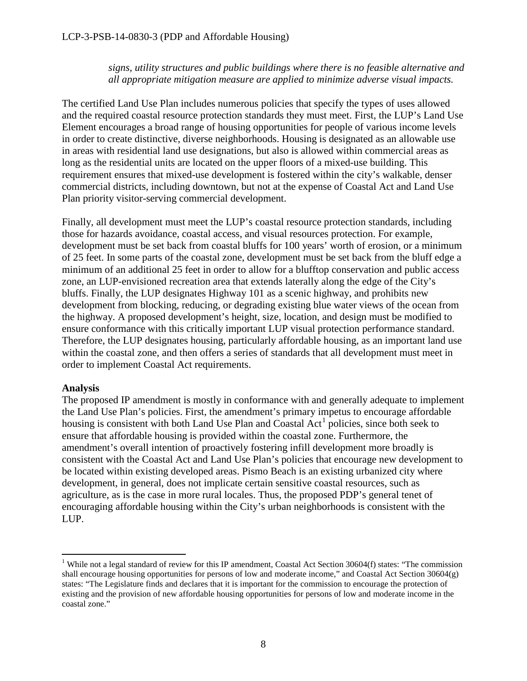*signs, utility structures and public buildings where there is no feasible alternative and all appropriate mitigation measure are applied to minimize adverse visual impacts.* 

The certified Land Use Plan includes numerous policies that specify the types of uses allowed and the required coastal resource protection standards they must meet. First, the LUP's Land Use Element encourages a broad range of housing opportunities for people of various income levels in order to create distinctive, diverse neighborhoods. Housing is designated as an allowable use in areas with residential land use designations, but also is allowed within commercial areas as long as the residential units are located on the upper floors of a mixed-use building. This requirement ensures that mixed-use development is fostered within the city's walkable, denser commercial districts, including downtown, but not at the expense of Coastal Act and Land Use Plan priority visitor-serving commercial development.

Finally, all development must meet the LUP's coastal resource protection standards, including those for hazards avoidance, coastal access, and visual resources protection. For example, development must be set back from coastal bluffs for 100 years' worth of erosion, or a minimum of 25 feet. In some parts of the coastal zone, development must be set back from the bluff edge a minimum of an additional 25 feet in order to allow for a blufftop conservation and public access zone, an LUP-envisioned recreation area that extends laterally along the edge of the City's bluffs. Finally, the LUP designates Highway 101 as a scenic highway, and prohibits new development from blocking, reducing, or degrading existing blue water views of the ocean from the highway. A proposed development's height, size, location, and design must be modified to ensure conformance with this critically important LUP visual protection performance standard. Therefore, the LUP designates housing, particularly affordable housing, as an important land use within the coastal zone, and then offers a series of standards that all development must meet in order to implement Coastal Act requirements.

#### **Analysis**

 $\overline{a}$ 

The proposed IP amendment is mostly in conformance with and generally adequate to implement the Land Use Plan's policies. First, the amendment's primary impetus to encourage affordable housing is consistent with both Land Use Plan and Coastal  $Act<sup>1</sup>$  $Act<sup>1</sup>$  $Act<sup>1</sup>$  policies, since both seek to ensure that affordable housing is provided within the coastal zone. Furthermore, the amendment's overall intention of proactively fostering infill development more broadly is consistent with the Coastal Act and Land Use Plan's policies that encourage new development to be located within existing developed areas. Pismo Beach is an existing urbanized city where development, in general, does not implicate certain sensitive coastal resources, such as agriculture, as is the case in more rural locales. Thus, the proposed PDP's general tenet of encouraging affordable housing within the City's urban neighborhoods is consistent with the LUP.

<span id="page-7-0"></span><sup>&</sup>lt;sup>1</sup> While not a legal standard of review for this IP amendment, Coastal Act Section 30604(f) states: "The commission shall encourage housing opportunities for persons of low and moderate income," and Coastal Act Section 30604(g) states: "The Legislature finds and declares that it is important for the commission to encourage the protection of existing and the provision of new affordable housing opportunities for persons of low and moderate income in the coastal zone."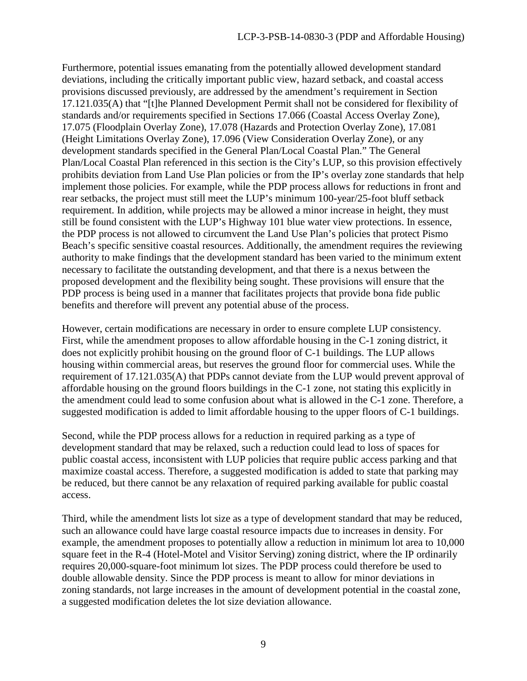Furthermore, potential issues emanating from the potentially allowed development standard deviations, including the critically important public view, hazard setback, and coastal access provisions discussed previously, are addressed by the amendment's requirement in Section 17.121.035(A) that "[t]he Planned Development Permit shall not be considered for flexibility of standards and/or requirements specified in Sections 17.066 (Coastal Access Overlay Zone), 17.075 (Floodplain Overlay Zone), 17.078 (Hazards and Protection Overlay Zone), 17.081 (Height Limitations Overlay Zone), 17.096 (View Consideration Overlay Zone), or any development standards specified in the General Plan/Local Coastal Plan." The General Plan/Local Coastal Plan referenced in this section is the City's LUP, so this provision effectively prohibits deviation from Land Use Plan policies or from the IP's overlay zone standards that help implement those policies. For example, while the PDP process allows for reductions in front and rear setbacks, the project must still meet the LUP's minimum 100-year/25-foot bluff setback requirement. In addition, while projects may be allowed a minor increase in height, they must still be found consistent with the LUP's Highway 101 blue water view protections. In essence, the PDP process is not allowed to circumvent the Land Use Plan's policies that protect Pismo Beach's specific sensitive coastal resources. Additionally, the amendment requires the reviewing authority to make findings that the development standard has been varied to the minimum extent necessary to facilitate the outstanding development, and that there is a nexus between the proposed development and the flexibility being sought. These provisions will ensure that the PDP process is being used in a manner that facilitates projects that provide bona fide public benefits and therefore will prevent any potential abuse of the process.

However, certain modifications are necessary in order to ensure complete LUP consistency. First, while the amendment proposes to allow affordable housing in the C-1 zoning district, it does not explicitly prohibit housing on the ground floor of C-1 buildings. The LUP allows housing within commercial areas, but reserves the ground floor for commercial uses. While the requirement of 17.121.035(A) that PDPs cannot deviate from the LUP would prevent approval of affordable housing on the ground floors buildings in the C-1 zone, not stating this explicitly in the amendment could lead to some confusion about what is allowed in the C-1 zone. Therefore, a suggested modification is added to limit affordable housing to the upper floors of C-1 buildings.

Second, while the PDP process allows for a reduction in required parking as a type of development standard that may be relaxed, such a reduction could lead to loss of spaces for public coastal access, inconsistent with LUP policies that require public access parking and that maximize coastal access. Therefore, a suggested modification is added to state that parking may be reduced, but there cannot be any relaxation of required parking available for public coastal access.

Third, while the amendment lists lot size as a type of development standard that may be reduced, such an allowance could have large coastal resource impacts due to increases in density. For example, the amendment proposes to potentially allow a reduction in minimum lot area to 10,000 square feet in the R-4 (Hotel-Motel and Visitor Serving) zoning district, where the IP ordinarily requires 20,000-square-foot minimum lot sizes. The PDP process could therefore be used to double allowable density. Since the PDP process is meant to allow for minor deviations in zoning standards, not large increases in the amount of development potential in the coastal zone, a suggested modification deletes the lot size deviation allowance.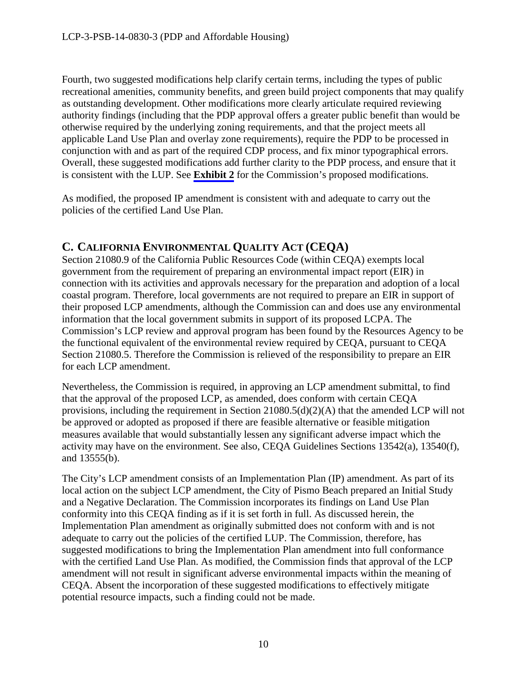Fourth, two suggested modifications help clarify certain terms, including the types of public recreational amenities, community benefits, and green build project components that may qualify as outstanding development. Other modifications more clearly articulate required reviewing authority findings (including that the PDP approval offers a greater public benefit than would be otherwise required by the underlying zoning requirements, and that the project meets all applicable Land Use Plan and overlay zone requirements), require the PDP to be processed in conjunction with and as part of the required CDP process, and fix minor typographical errors. Overall, these suggested modifications add further clarity to the PDP process, and ensure that it is consistent with the LUP. See **[Exhibit 2](#page-16-0)** for the Commission's proposed modifications.

As modified, the proposed IP amendment is consistent with and adequate to carry out the policies of the certified Land Use Plan.

## <span id="page-9-0"></span>**C. CALIFORNIA ENVIRONMENTAL QUALITY ACT (CEQA)**

Section 21080.9 of the California Public Resources Code (within CEQA) exempts local government from the requirement of preparing an environmental impact report (EIR) in connection with its activities and approvals necessary for the preparation and adoption of a local coastal program. Therefore, local governments are not required to prepare an EIR in support of their proposed LCP amendments, although the Commission can and does use any environmental information that the local government submits in support of its proposed LCPA. The Commission's LCP review and approval program has been found by the Resources Agency to be the functional equivalent of the environmental review required by CEQA, pursuant to CEQA Section 21080.5. Therefore the Commission is relieved of the responsibility to prepare an EIR for each LCP amendment.

Nevertheless, the Commission is required, in approving an LCP amendment submittal, to find that the approval of the proposed LCP, as amended, does conform with certain CEQA provisions, including the requirement in Section 21080.5(d)(2)(A) that the amended LCP will not be approved or adopted as proposed if there are feasible alternative or feasible mitigation measures available that would substantially lessen any significant adverse impact which the activity may have on the environment. See also, CEQA Guidelines Sections 13542(a), 13540(f), and 13555(b).

The City's LCP amendment consists of an Implementation Plan (IP) amendment. As part of its local action on the subject LCP amendment, the City of Pismo Beach prepared an Initial Study and a Negative Declaration. The Commission incorporates its findings on Land Use Plan conformity into this CEQA finding as if it is set forth in full. As discussed herein, the Implementation Plan amendment as originally submitted does not conform with and is not adequate to carry out the policies of the certified LUP. The Commission, therefore, has suggested modifications to bring the Implementation Plan amendment into full conformance with the certified Land Use Plan. As modified, the Commission finds that approval of the LCP amendment will not result in significant adverse environmental impacts within the meaning of CEQA. Absent the incorporation of these suggested modifications to effectively mitigate potential resource impacts, such a finding could not be made.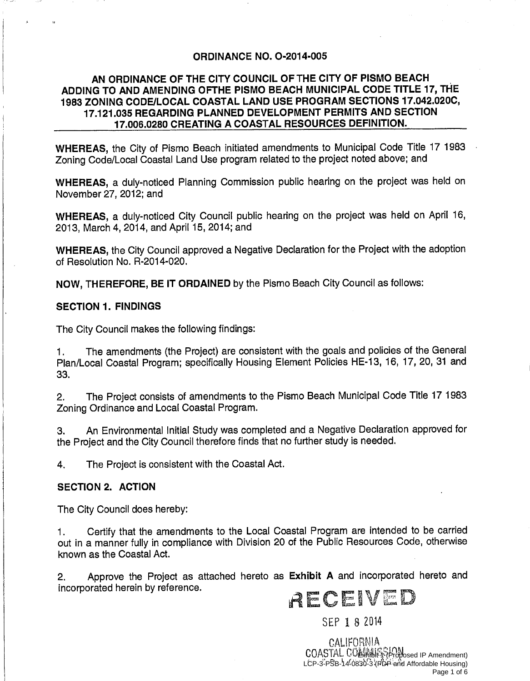#### **ORDINANCE NO. O-2014-005**

#### <span id="page-10-0"></span>AN ORDINANCE OF THE CITY COUNCIL OF THE CITY OF PISMO BEACH ADDING TO AND AMENDING OFTHE PISMO BEACH MUNICIPAL CODE TITLE 17, THE 1983 ZONING CODE/LOCAL COASTAL LAND USE PROGRAM SECTIONS 17.042.020C, 17.121.035 REGARDING PLANNED DEVELOPMENT PERMITS AND SECTION 17,006,0280 CREATING A COASTAL RESOURCES DEFINITION.

WHEREAS, the City of Pismo Beach initiated amendments to Municipal Code Title 17 1983 Zoning Code/Local Coastal Land Use program related to the project noted above; and

WHEREAS, a duly-noticed Planning Commission public hearing on the project was held on November 27, 2012; and

WHEREAS, a duly-noticed City Council public hearing on the project was held on April 16, 2013, March 4, 2014, and April 15, 2014; and

WHEREAS, the City Council approved a Negative Declaration for the Project with the adoption of Resolution No. R-2014-020.

NOW, THEREFORE, BE IT ORDAINED by the Pismo Beach City Council as follows:

#### **SECTION 1. FINDINGS**

The City Council makes the following findings:

The amendments (the Project) are consistent with the goals and policies of the General  $1.$ Plan/Local Coastal Program; specifically Housing Element Policies HE-13, 16, 17, 20, 31 and 33.

The Project consists of amendments to the Pismo Beach Municipal Code Title 17 1983  $2.$ Zoning Ordinance and Local Coastal Program.

An Environmental Initial Study was completed and a Negative Declaration approved for 3. the Project and the City Council therefore finds that no further study is needed.

4. The Project is consistent with the Coastal Act.

#### **SECTION 2. ACTION**

The City Council does hereby:

Certify that the amendments to the Local Coastal Program are intended to be carried  $1.$ out in a manner fully in compliance with Division 20 of the Public Resources Code, otherwise known as the Coastal Act.

Approve the Project as attached hereto as Exhibit A and incorporated hereto and  $2.$ incorporated herein by reference.

# ALCENTIN

SEP 1 8 2014

CALIFORNIA COASTAL COLUMBIA Proposed IP Amendment) LCP-3-PSB-14-0830-3-(PDP and Affordable Housing) Page 1 of 6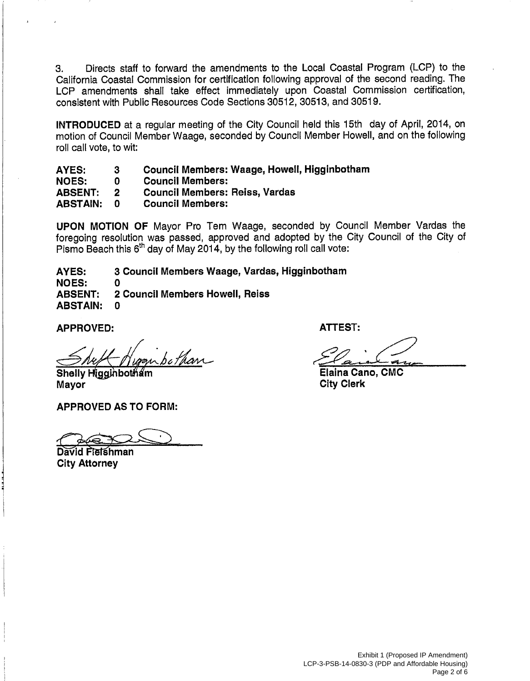Directs staff to forward the amendments to the Local Coastal Program (LCP) to the  $3.$ California Coastal Commission for certification following approval of the second reading. The LCP amendments shall take effect immediately upon Coastal Commission certification, consistent with Public Resources Code Sections 30512, 30513, and 30519.

**INTRODUCED** at a regular meeting of the City Council held this 15th day of April, 2014, on motion of Council Member Waage, seconded by Council Member Howell, and on the following roll call vote, to wit:

Council Members: Waage, Howell, Higginbotham **AYES:** 3

**NOES:**  $\mathbf{0}$ **Council Members:** 

**Council Members: Reiss, Vardas ABSENT:**  $\mathbf{2}$ 

**Council Members: ABSTAIN:**  $\Omega$ 

**UPON MOTION OF Mayor Pro Tem Waage, seconded by Council Member Vardas the** foregoing resolution was passed, approved and adopted by the City Council of the City of Pismo Beach this 6<sup>th</sup> day of May 2014, by the following roll call vote:

3 Council Members Waage, Vardas, Higginbotham **AYES:** 

**NOES:** 0 2 Council Members Howell, Reiss **ABSENT: ABSTAIN:**  $\Omega$ 

**APPROVED:** 

**Shelly Higginboti** Mayor

**APPROVED AS TO FORM:** 

David Fletshman **City Attorney** 

**ATTEST:** 

Elaina Cano, CMC **City Clerk**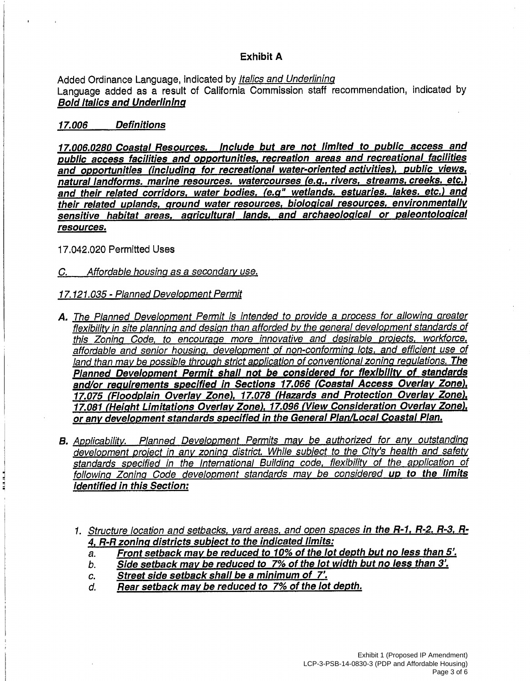#### **Exhibit A**

Added Ordinance Language, indicated by Italics and Underlining Language added as a result of California Commission staff recommendation, indicated by **Bold Italics and Underlining** 

#### **Definitions** 17.006

17.006.0280 Coastal Resources. Include but are not limited to public access and public access facilities and opportunities, recreation areas and recreational facilities and opportunities (including for recreational water-oriented activities), public views, natural landforms, marine resources, watercourses (e.g., rivers, streams, creeks, etc.) and their related corridors, water bodies, (e.g" wetlands, estuaries, lakes, etc.) and their related uplands, ground water resources, biological resources, environmentally sensitive habitat areas, agricultural lands, and archaeological or paleontological resources.

17.042.020 Permitted Uses

C. Affordable housing as a secondary use.

#### 17.121.035 - Planned Development Permit

- A. The Planned Development Permit is intended to provide a process for allowing greater flexibility in site planning and design than afforded by the general development standards of this Zoning Code, to encourage more innovative and desirable projects, workforce, affordable and senior housing, development of non-conforming lots, and efficient use of land than may be possible through strict application of conventional zoning regulations. The Planned Development Permit shall not be considered for flexibility of standards and/or requirements specified in Sections 17.066 (Coastal Access Overlay Zone), 17.075 (Floodplain Overlay Zone), 17.078 (Hazards and Protection Overlay Zone), 17.081 (Height Limitations Overlay Zone), 17.096 (View Consideration Overlay Zone). or any development standards specified in the General Plan/Local Coastal Plan.
- B. Applicability. Planned Development Permits may be authorized for any outstanding development project in any zoning district. While subject to the City's health and safety standards specified in the International Building code, flexibility of the application of following Zoning Code development standards may be considered up to the limits **identified in this Section:** 
	- 1. Structure location and setbacks, yard areas, and open spaces in the R-1, R-2, R-3, R-4. R-R zoning districts subject to the indicated limits:
		- Front setback may be reduced to 10% of the lot depth but no less than 5'. a.
		- Side setback may be reduced to 7% of the lot width but no less than 3'. b.
		- Street side setback shall be a minimum of 7'.  $\overline{C}$ .
		- Rear setback may be reduced to 7% of the lot depth. d.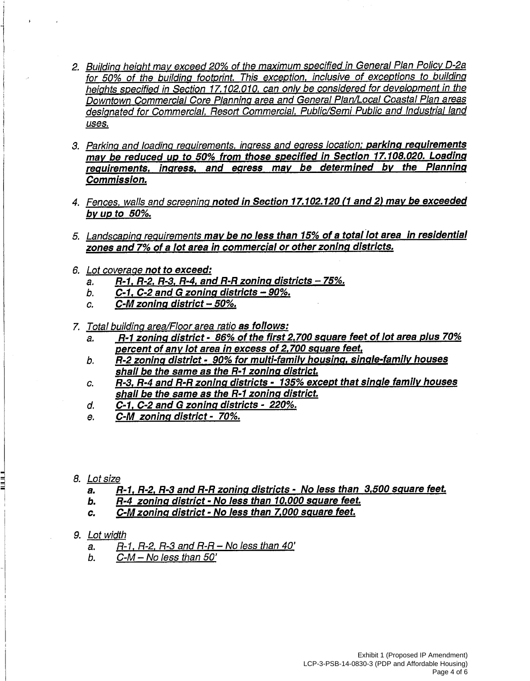- 2. Building height may exceed 20% of the maximum specified in General Plan Policy D-2a for 50% of the building footprint. This exception, inclusive of exceptions to building heights specified in Section 17.102.010, can only be considered for development in the Downtown Commercial Core Planning area and General Plan/Local Coastal Plan areas designated for Commercial. Resort Commercial. Public/Semi Public and Industrial land uses.
- 3. Parking and loading requirements, ingress and egress location; parking requirements may be reduced up to 50% from those specified in Section 17.108.020. Loading requirements, ingress, and egress may be determined by the Planning Commission.
- 4. Fences, walls and screening noted in Section 17.102.120 (1 and 2) may be exceeded by up to  $50\%$ .
- 5. Landscaping requirements may be no less than 15% of a total lot area in residential zones and 7% of a lot area in commercial or other zoning districts.
- 6. Lot coverage not to exceed:
	- $R-1$ ,  $R-2$ ,  $R-3$ ,  $R-4$ , and  $R-R$  zoning districts  $-75%$ . a.
	- $C-1$ ,  $C-2$  and G zoning districts  $-90\%$ . b.
	- C-M zoning district 50%. C.
- 7. Total building area/Floor area ratio as follows:
	- R-1 zoning district 86% of the first 2,700 square feet of lot area plus 70% a. percent of any lot area in excess of 2,700 square feet,
	- R-2 zoning district 90% for multi-family housing, single-family houses b. shall be the same as the R-1 zoning district.
	- R-3, R-4 and R-R zoning districts 135% except that single family houses C. shall be the same as the R-1 zoning district.
	- C-1, C-2 and G zoning districts 220%. d.
	- C-M zoning district 70%. e.
- 8. Lot size
	- R-1, R-2, R-3 and R-R zoning districts No less than 3,500 square feet.  $a.$
	- R-4 zoning district No less than 10,000 square feet. Ь.
	- C-M zoning district No less than 7.000 square feet.  $\overline{c}$ .
- 9. Lot width
	- $R-1$ ,  $R-2$ ,  $R-3$  and  $R-R No$  less than 40' a.
	- $C-M No$  less than  $50'$ b.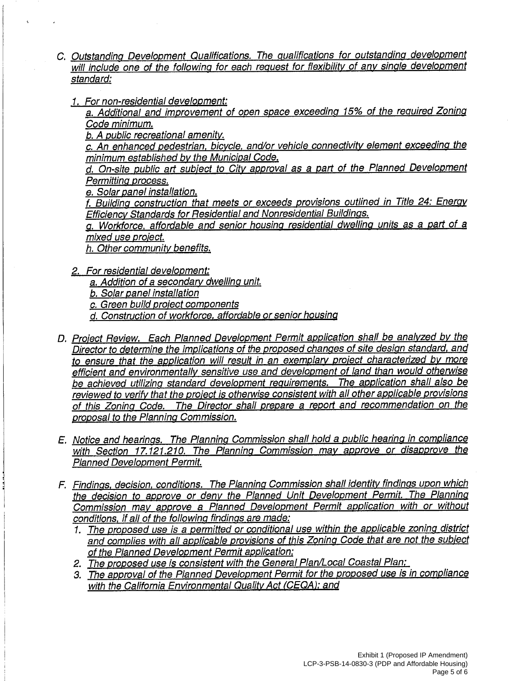- C. Outstanding Development Qualifications. The qualifications for outstanding development will include one of the following for each request for flexibility of any single development standard:
	- 1. For non-residential development:

a. Additional and improvement of open space exceeding 15% of the required Zoning Code minimum.

b. A public recreational amenity.

c. An enhanced pedestrian, bicycle, and/or vehicle connectivity element exceeding the minimum established by the Municipal Code.

d. On-site public art subject to City approval as a part of the Planned Development Permitting process.

e. Solar panel installation.

f. Building construction that meets or exceeds provisions outlined in Title 24: Energy Efficiency Standards for Residential and Nonresidential Buildings.

a. Workforce, affordable and senior housing residential dwelling units as a part of a mixed use project.

h. Other community benefits.

- 2. For residential development:
	- a. Addition of a secondary dwelling unit.

b. Solar panel installation

c. Green build project components

d. Construction of workforce, affordable or senior housing

- D. Project Review. Each Planned Development Permit application shall be analyzed by the Director to determine the implications of the proposed changes of site design standard, and to ensure that the application will result in an exemplary project characterized by more efficient and environmentally sensitive use and development of land than would otherwise be achieved utilizing standard development requirements. The application shall also be reviewed to verify that the project is otherwise consistent with all other applicable provisions of this Zoning Code. The Director shall prepare a report and recommendation on the proposal to the Planning Commission.
- E. Notice and hearings. The Planning Commission shall hold a public hearing in compliance with Section 17,121,210. The Planning Commission may approve or disapprove the **Planned Development Permit.**
- F. Findings, decision, conditions. The Planning Commission shall identity findings upon which the decision to approve or deny the Planned Unit Development Permit. The Planning Commission may approve a Planned Development Permit application with or without conditions, if all of the following findings are made:
	- 1. The proposed use is a permitted or conditional use within the applicable zoning district and complies with all applicable provisions of this Zoning Code that are not the subject of the Planned Development Permit application:
	- 2. The proposed use is consistent with the General Plan/Local Coastal Plan;
	- 3. The approval of the Planned Development Permit for the proposed use is in compliance with the California Environmental Quality Act (CEQA); and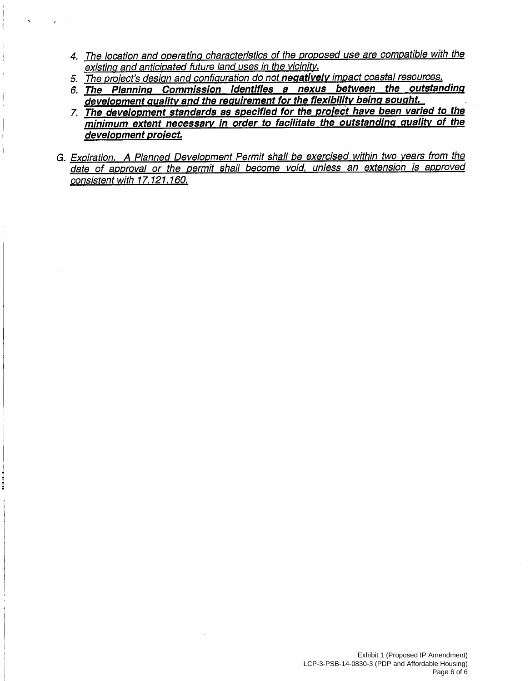- 4. The location and operating characteristics of the proposed use are compatible with the existing and anticipated future land uses in the vicinity.
- 5. The project's design and configuration do not negatively impact coastal resources.
- 6. The Planning Commission identifies a nexus between the outstanding development quality and the requirement for the flexibility being sought.
- 7. The development standards as specified for the project have been varied to the minimum extent necessary in order to facilitate the outstanding quality of the development project.
- G. Expiration. A Planned Development Permit shall be exercised within two years from the date of approval or the permit shall become void, unless an extension is approved consistent with 17.121.160.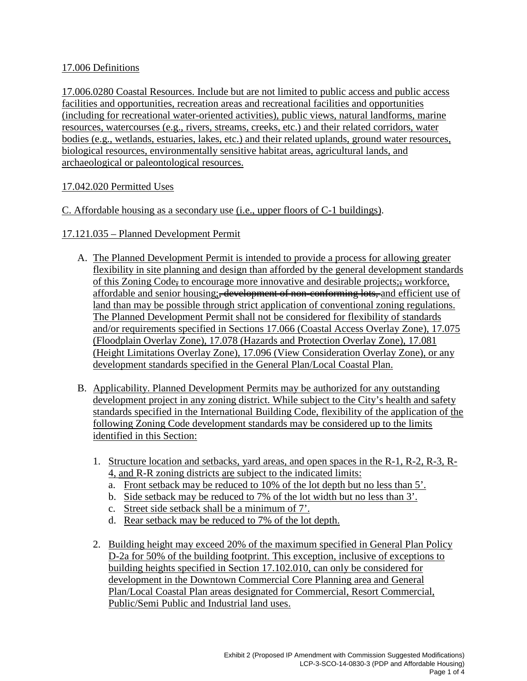#### <span id="page-16-0"></span>17.006 Definitions

17.006.0280 Coastal Resources. Include but are not limited to public access and public access facilities and opportunities, recreation areas and recreational facilities and opportunities (including for recreational water-oriented activities), public views, natural landforms, marine resources, watercourses (e.g., rivers, streams, creeks, etc.) and their related corridors, water bodies (e.g., wetlands, estuaries, lakes, etc.) and their related uplands, ground water resources, biological resources, environmentally sensitive habitat areas, agricultural lands, and archaeological or paleontological resources.

#### 17.042.020 Permitted Uses

#### C. Affordable housing as a secondary use (i.e., upper floors of C-1 buildings).

#### 17.121.035 – Planned Development Permit

- A. The Planned Development Permit is intended to provide a process for allowing greater flexibility in site planning and design than afforded by the general development standards of this Zoning Code, to encourage more innovative and desirable projects; workforce, affordable and senior housing; <del>development of non-conforming lots, a</del>nd efficient use of land than may be possible through strict application of conventional zoning regulations. The Planned Development Permit shall not be considered for flexibility of standards and/or requirements specified in Sections 17.066 (Coastal Access Overlay Zone), 17.075 (Floodplain Overlay Zone), 17.078 (Hazards and Protection Overlay Zone), 17.081 (Height Limitations Overlay Zone), 17.096 (View Consideration Overlay Zone), or any development standards specified in the General Plan/Local Coastal Plan.
- B. Applicability. Planned Development Permits may be authorized for any outstanding development project in any zoning district. While subject to the City's health and safety standards specified in the International Building Code, flexibility of the application of the following Zoning Code development standards may be considered up to the limits identified in this Section:
	- 1. Structure location and setbacks, yard areas, and open spaces in the R-1, R-2, R-3, R-4, and R-R zoning districts are subject to the indicated limits:
		- a. Front setback may be reduced to 10% of the lot depth but no less than 5'.
		- b. Side setback may be reduced to 7% of the lot width but no less than 3'.
		- c. Street side setback shall be a minimum of 7'.
		- d. Rear setback may be reduced to 7% of the lot depth.
	- 2. Building height may exceed 20% of the maximum specified in General Plan Policy D-2a for 50% of the building footprint. This exception, inclusive of exceptions to building heights specified in Section 17.102.010, can only be considered for development in the Downtown Commercial Core Planning area and General Plan/Local Coastal Plan areas designated for Commercial, Resort Commercial, Public/Semi Public and Industrial land uses.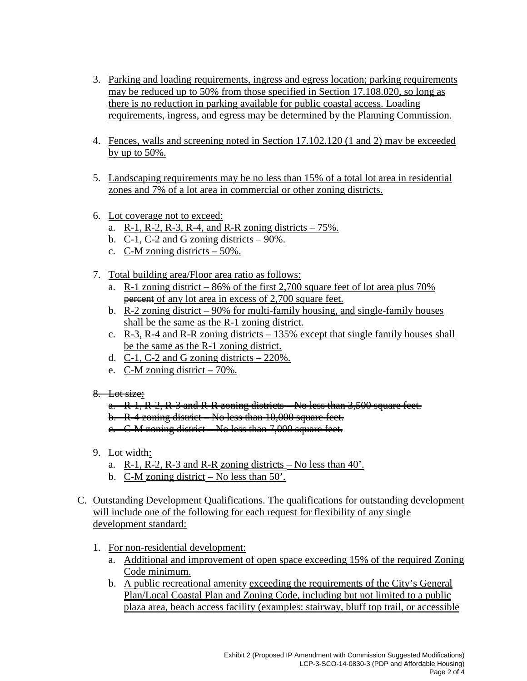- 3. Parking and loading requirements, ingress and egress location; parking requirements may be reduced up to 50% from those specified in Section 17.108.020, so long as there is no reduction in parking available for public coastal access. Loading requirements, ingress, and egress may be determined by the Planning Commission.
- 4. Fences, walls and screening noted in Section 17.102.120 (1 and 2) may be exceeded by up to 50%.
- 5. Landscaping requirements may be no less than 15% of a total lot area in residential zones and 7% of a lot area in commercial or other zoning districts.
- 6. Lot coverage not to exceed:
	- a. R-1, R-2, R-3, R-4, and R-R zoning districts  $-75%$ .
	- b. C-1, C-2 and G zoning districts  $-90\%$ .
	- c. C-M zoning districts 50%.
- 7. Total building area/Floor area ratio as follows:
	- a. R-1 zoning district 86% of the first 2,700 square feet of lot area plus 70% **percent** of any lot area in excess of 2,700 square feet.
	- b. R-2 zoning district 90% for multi-family housing, and single-family houses shall be the same as the R-1 zoning district.
	- c.  $R-3$ ,  $R-4$  and  $R-R$  zoning districts  $-135%$  except that single family houses shall be the same as the R-1 zoning district.
	- d. C-1, C-2 and G zoning districts  $-220\%$ .
	- e. C-M zoning district 70%.
- $8.$  Lot size:
	- a. R-1, R-2, R-3 and R-R zoning districts No less than 3,500 square feet.
	- b. R-4 zoning district No less than 10,000 square feet.

c. C-M zoning district – No less than 7,000 square feet.

- 9. Lot width:
	- a.  $R-1$ ,  $R-2$ ,  $R-3$  and  $R-R$  zoning districts No less than 40'.
	- b. C-M zoning district No less than 50'.
- C. Outstanding Development Qualifications. The qualifications for outstanding development will include one of the following for each request for flexibility of any single development standard:
	- 1. For non-residential development:
		- a. Additional and improvement of open space exceeding 15% of the required Zoning Code minimum.
		- b. A public recreational amenity exceeding the requirements of the City's General Plan/Local Coastal Plan and Zoning Code, including but not limited to a public plaza area, beach access facility (examples: stairway, bluff top trail, or accessible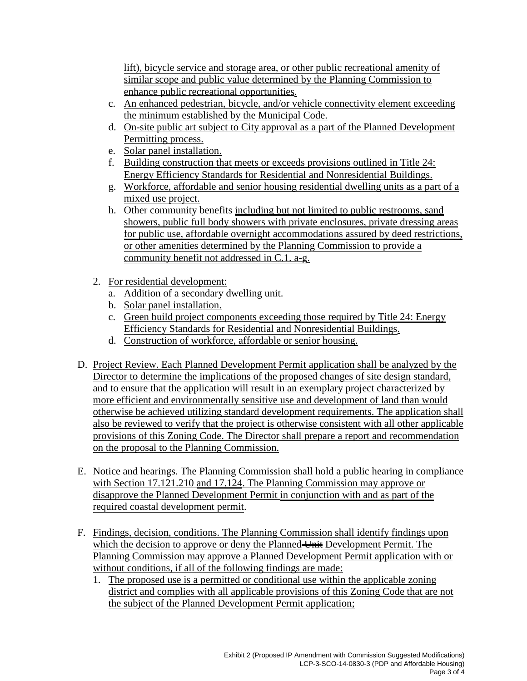lift), bicycle service and storage area, or other public recreational amenity of similar scope and public value determined by the Planning Commission to enhance public recreational opportunities.

- c. An enhanced pedestrian, bicycle, and/or vehicle connectivity element exceeding the minimum established by the Municipal Code.
- d. On-site public art subject to City approval as a part of the Planned Development Permitting process.
- e. Solar panel installation.
- f. Building construction that meets or exceeds provisions outlined in Title 24: Energy Efficiency Standards for Residential and Nonresidential Buildings.
- g. Workforce, affordable and senior housing residential dwelling units as a part of a mixed use project.
- h. Other community benefits including but not limited to public restrooms, sand showers, public full body showers with private enclosures, private dressing areas for public use, affordable overnight accommodations assured by deed restrictions, or other amenities determined by the Planning Commission to provide a community benefit not addressed in C.1. a-g.
- 2. For residential development:
	- a. Addition of a secondary dwelling unit.
	- b. Solar panel installation.
	- c. Green build project components exceeding those required by Title 24: Energy Efficiency Standards for Residential and Nonresidential Buildings.
	- d. Construction of workforce, affordable or senior housing.
- D. Project Review. Each Planned Development Permit application shall be analyzed by the Director to determine the implications of the proposed changes of site design standard, and to ensure that the application will result in an exemplary project characterized by more efficient and environmentally sensitive use and development of land than would otherwise be achieved utilizing standard development requirements. The application shall also be reviewed to verify that the project is otherwise consistent with all other applicable provisions of this Zoning Code. The Director shall prepare a report and recommendation on the proposal to the Planning Commission.
- E. Notice and hearings. The Planning Commission shall hold a public hearing in compliance with Section 17.121.210 and 17.124. The Planning Commission may approve or disapprove the Planned Development Permit in conjunction with and as part of the required coastal development permit.
- F. Findings, decision, conditions. The Planning Commission shall identify findings upon which the decision to approve or deny the Planned Unit Development Permit. The Planning Commission may approve a Planned Development Permit application with or without conditions, if all of the following findings are made:
	- 1. The proposed use is a permitted or conditional use within the applicable zoning district and complies with all applicable provisions of this Zoning Code that are not the subject of the Planned Development Permit application;